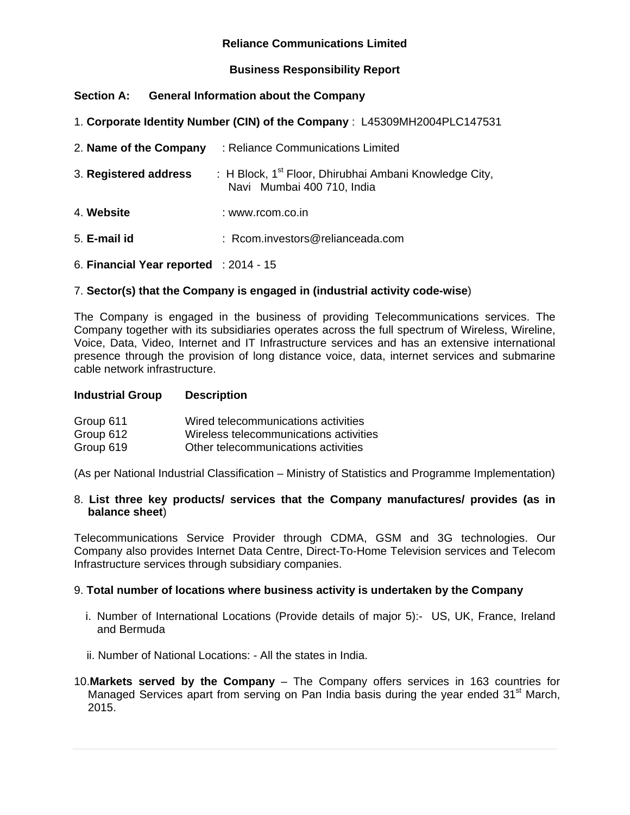## **Reliance Communications Limited**

## **Business Responsibility Report**

## **Section A: General Information about the Company**

1. **Corporate Identity Number (CIN) of the Company** : L45309MH2004PLC147531

| 2. Name of the Company                            | : Reliance Communications Limited                                                      |
|---------------------------------------------------|----------------------------------------------------------------------------------------|
| 3. Registered address                             | : H Block, $1st$ Floor, Dhirubhai Ambani Knowledge City,<br>Navi Mumbai 400 710, India |
| 4. Website                                        | : www.rcom.co.in                                                                       |
| 5. E-mail id                                      | : Rcom.investors@relianceada.com                                                       |
| 6. Financial Year reported $\therefore$ 2014 - 15 |                                                                                        |

## 7. **Sector(s) that the Company is engaged in (industrial activity code-wise**)

The Company is engaged in the business of providing Telecommunications services. The Company together with its subsidiaries operates across the full spectrum of Wireless, Wireline, Voice, Data, Video, Internet and IT Infrastructure services and has an extensive international presence through the provision of long distance voice, data, internet services and submarine cable network infrastructure.

#### **Industrial Group Description**

| Group 611 | Wired telecommunications activities    |
|-----------|----------------------------------------|
| Group 612 | Wireless telecommunications activities |
| Group 619 | Other telecommunications activities    |

(As per National Industrial Classification – Ministry of Statistics and Programme Implementation)

#### 8. **List three key products/ services that the Company manufactures/ provides (as in balance sheet**)

Telecommunications Service Provider through CDMA, GSM and 3G technologies. Our Company also provides Internet Data Centre, Direct-To-Home Television services and Telecom Infrastructure services through subsidiary companies.

#### 9. **Total number of locations where business activity is undertaken by the Company**

- i. Number of International Locations (Provide details of major 5):- US, UK, France, Ireland and Bermuda
- ii. Number of National Locations: All the states in India.
- 10.**Markets served by the Company** The Company offers services in 163 countries for Managed Services apart from serving on Pan India basis during the year ended 31<sup>st</sup> March, 2015.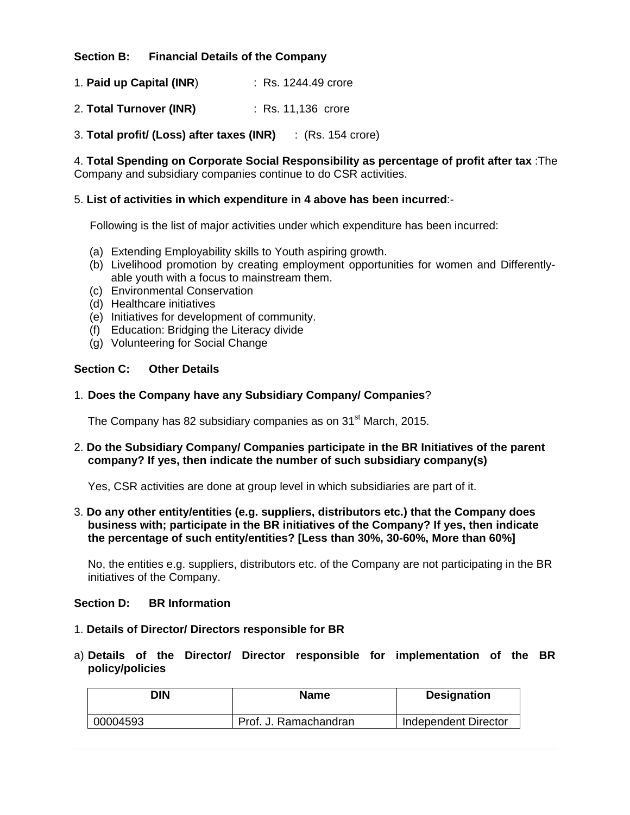**Section B: Financial Details of the Company** 

1. **Paid up Capital (INR**) : Rs. 1244.49 crore

2. **Total Turnover (INR)** : Rs. 11,136 crore

3. **Total profit/ (Loss) after taxes (INR)** : (Rs. 154 crore)

4. **Total Spending on Corporate Social Responsibility as percentage of profit after tax** :The Company and subsidiary companies continue to do CSR activities.

## 5. **List of activities in which expenditure in 4 above has been incurred**:-

Following is the list of major activities under which expenditure has been incurred:

- (a) Extending Employability skills to Youth aspiring growth.
- (b) Livelihood promotion by creating employment opportunities for women and Differentlyable youth with a focus to mainstream them.
- (c) Environmental Conservation
- (d) Healthcare initiatives
- (e) Initiatives for development of community.
- (f) Education: Bridging the Literacy divide
- (g) Volunteering for Social Change

## **Section C: Other Details**

#### 1. **Does the Company have any Subsidiary Company/ Companies**?

The Company has 82 subsidiary companies as on 31<sup>st</sup> March, 2015.

## 2. **Do the Subsidiary Company/ Companies participate in the BR Initiatives of the parent company? If yes, then indicate the number of such subsidiary company(s)**

Yes, CSR activities are done at group level in which subsidiaries are part of it.

3. **Do any other entity/entities (e.g. suppliers, distributors etc.) that the Company does business with; participate in the BR initiatives of the Company? If yes, then indicate the percentage of such entity/entities? [Less than 30%, 30-60%, More than 60%]** 

No, the entities e.g. suppliers, distributors etc. of the Company are not participating in the BR initiatives of the Company.

#### **Section D: BR Information**

- 1. **Details of Director/ Directors responsible for BR**
- a) **Details of the Director/ Director responsible for implementation of the BR policy/policies**

| DIN      | <b>Name</b>           | <b>Designation</b>   |
|----------|-----------------------|----------------------|
| 00004593 | Prof. J. Ramachandran | Independent Director |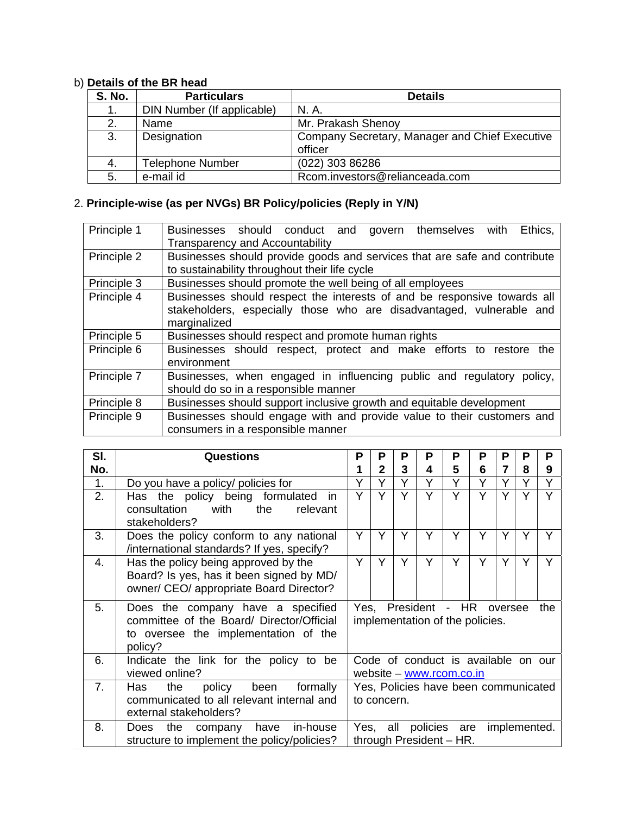# b) **Details of the BR head**

| <b>S. No.</b> | <b>Particulars</b>         | <b>Details</b>                                 |
|---------------|----------------------------|------------------------------------------------|
| 1.            | DIN Number (If applicable) | N. A.                                          |
| 2.            | Name                       | Mr. Prakash Shenoy                             |
| 3.            | Designation                | Company Secretary, Manager and Chief Executive |
|               |                            | officer                                        |
| 4.            | <b>Telephone Number</b>    | (022) 303 86286                                |
| 5.            | e-mail id                  | Rcom.investors@relianceada.com                 |

## 2. **Principle-wise (as per NVGs) BR Policy/policies (Reply in Y/N)**

| Principle 1 | Ethics,<br>Businesses should conduct and govern themselves<br>with        |
|-------------|---------------------------------------------------------------------------|
|             | <b>Transparency and Accountability</b>                                    |
| Principle 2 | Businesses should provide goods and services that are safe and contribute |
|             | to sustainability throughout their life cycle                             |
| Principle 3 | Businesses should promote the well being of all employees                 |
| Principle 4 | Businesses should respect the interests of and be responsive towards all  |
|             | stakeholders, especially those who are disadvantaged, vulnerable and      |
|             | marginalized                                                              |
| Principle 5 | Businesses should respect and promote human rights                        |
| Principle 6 | Businesses should respect, protect and make efforts to restore<br>the     |
|             | environment                                                               |
| Principle 7 | Businesses, when engaged in influencing public and regulatory policy,     |
|             | should do so in a responsible manner                                      |
| Principle 8 | Businesses should support inclusive growth and equitable development      |
| Principle 9 | Businesses should engage with and provide value to their customers and    |
|             | consumers in a responsible manner                                         |

| SI. | <b>Questions</b>                                                                                                                                              |   | Р           | Р | Р                                                               | Р | P | P       | Ρ | P   |
|-----|---------------------------------------------------------------------------------------------------------------------------------------------------------------|---|-------------|---|-----------------------------------------------------------------|---|---|---------|---|-----|
| No. |                                                                                                                                                               | 1 | $\mathbf 2$ | 3 | 4                                                               | 5 | 6 | 7       | 8 | 9   |
| 1.  | Do you have a policy/ policies for                                                                                                                            | Y | Υ           | Y | Υ                                                               | Υ | Y | Y       | Υ | Υ   |
| 2.  | Has the policy being formulated<br><i>in</i><br>with<br>consultation<br>the<br>relevant<br>stakeholders?                                                      |   | Υ           | Ý | Υ                                                               | Ý | Y | Ý       |   | ٧   |
| 3.  | Does the policy conform to any national<br>/international standards? If yes, specify?                                                                         | Y | Y           | Y | Y                                                               | Y | Y | Y       | Y | Υ   |
| 4.  | Has the policy being approved by the<br>Board? Is yes, has it been signed by MD/<br>owner/ CEO/ appropriate Board Director?                                   |   | Y           | Y | Y                                                               | Y | Y | Y       | Υ | Υ   |
| 5.  | Does the company have a specified<br>committee of the Board/ Director/Official<br>to oversee the implementation of the<br>policy?                             |   | Yes.        |   | President - HR<br>implementation of the policies.               |   |   | oversee |   | the |
| 6.  | Indicate the link for the policy to be<br>viewed online?                                                                                                      |   |             |   | Code of conduct is available on our<br>website - www.rcom.co.in |   |   |         |   |     |
| 7.  | policy been<br>formally<br>Has<br>the<br>communicated to all relevant internal and<br>external stakeholders?                                                  |   | to concern. |   | Yes, Policies have been communicated                            |   |   |         |   |     |
| 8.  | policies are<br>Yes, all<br>company have<br>in-house<br>implemented.<br>the<br>Does<br>structure to implement the policy/policies?<br>through President - HR. |   |             |   |                                                                 |   |   |         |   |     |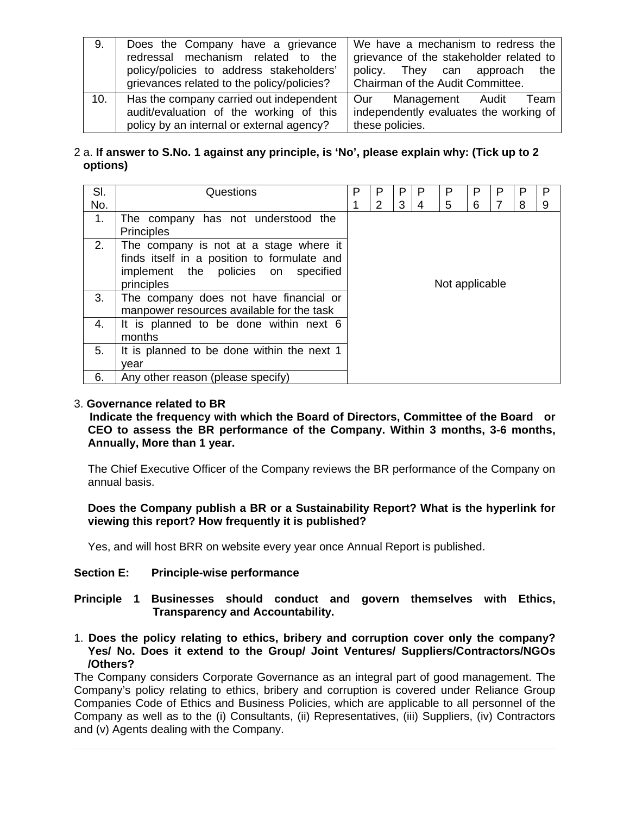| 9.  | Does the Company have a grievance<br>redressal mechanism related to the<br>policy/policies to address stakeholders'<br>grievances related to the policy/policies? | We have a mechanism to redress the<br>grievance of the stakeholder related to<br>policy. They can approach the<br>Chairman of the Audit Committee. |  |  |  |
|-----|-------------------------------------------------------------------------------------------------------------------------------------------------------------------|----------------------------------------------------------------------------------------------------------------------------------------------------|--|--|--|
| 10. | Has the company carried out independent<br>audit/evaluation of the working of this<br>policy by an internal or external agency?                                   | Management Audit<br>Our<br>Team<br>independently evaluates the working of<br>these policies.                                                       |  |  |  |

## 2 a. **If answer to S.No. 1 against any principle, is 'No', please explain why: (Tick up to 2 options)**

| SI. | Questions                                                                                                                                  | P              | P | P | P | Р | P |                |   | P |
|-----|--------------------------------------------------------------------------------------------------------------------------------------------|----------------|---|---|---|---|---|----------------|---|---|
| No. |                                                                                                                                            |                | 2 | 3 | 4 | 5 | 6 | $\overline{7}$ | 8 | 9 |
| 1.  | The company has not understood the<br><b>Principles</b>                                                                                    |                |   |   |   |   |   |                |   |   |
| 2.  | The company is not at a stage where it<br>finds itself in a position to formulate and<br>implement the policies on specified<br>principles | Not applicable |   |   |   |   |   |                |   |   |
| 3.  | The company does not have financial or<br>manpower resources available for the task                                                        |                |   |   |   |   |   |                |   |   |
| 4.  | It is planned to be done within next 6<br>months                                                                                           |                |   |   |   |   |   |                |   |   |
| 5.  | It is planned to be done within the next 1<br>vear                                                                                         |                |   |   |   |   |   |                |   |   |
| 6.  | Any other reason (please specify)                                                                                                          |                |   |   |   |   |   |                |   |   |

## 3. **Governance related to BR**

 **Indicate the frequency with which the Board of Directors, Committee of the Board or CEO to assess the BR performance of the Company. Within 3 months, 3-6 months, Annually, More than 1 year.** 

The Chief Executive Officer of the Company reviews the BR performance of the Company on annual basis.

**Does the Company publish a BR or a Sustainability Report? What is the hyperlink for viewing this report? How frequently it is published?** 

Yes, and will host BRR on website every year once Annual Report is published.

#### **Section E: Principle-wise performance**

## **Principle 1 Businesses should conduct and govern themselves with Ethics, Transparency and Accountability.**

1. **Does the policy relating to ethics, bribery and corruption cover only the company? Yes/ No. Does it extend to the Group/ Joint Ventures/ Suppliers/Contractors/NGOs /Others?** 

The Company considers Corporate Governance as an integral part of good management. The Company's policy relating to ethics, bribery and corruption is covered under Reliance Group Companies Code of Ethics and Business Policies, which are applicable to all personnel of the Company as well as to the (i) Consultants, (ii) Representatives, (iii) Suppliers, (iv) Contractors and (v) Agents dealing with the Company.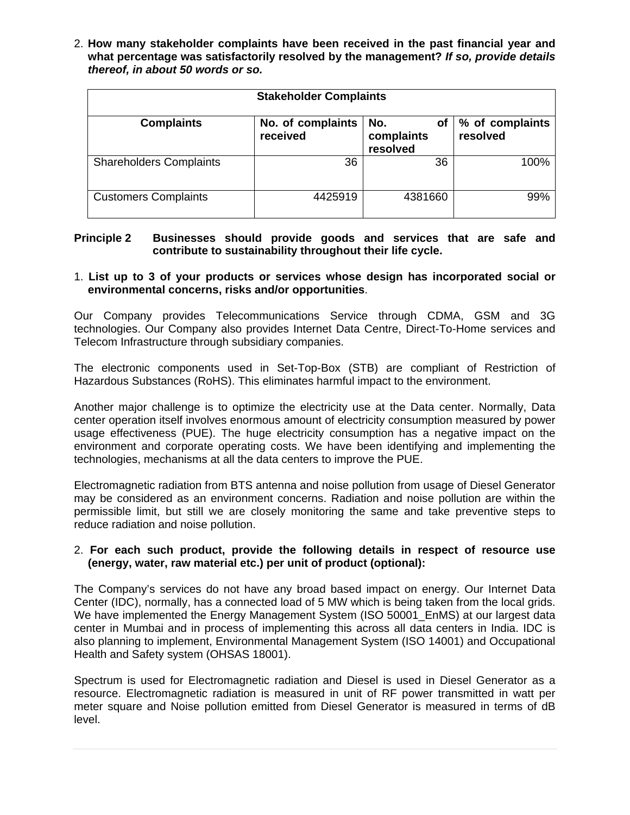2. **How many stakeholder complaints have been received in the past financial year and what percentage was satisfactorily resolved by the management?** *If so, provide details thereof, in about 50 words or so.* 

| <b>Stakeholder Complaints</b>  |                               |                                     |                             |  |  |  |  |
|--------------------------------|-------------------------------|-------------------------------------|-----------------------------|--|--|--|--|
| <b>Complaints</b>              | No. of complaints<br>received | No.<br>оf<br>complaints<br>resolved | % of complaints<br>resolved |  |  |  |  |
| <b>Shareholders Complaints</b> | 36                            | 36                                  | 100%                        |  |  |  |  |
| <b>Customers Complaints</b>    | 4425919                       | 4381660                             | 99%                         |  |  |  |  |

## **Principle 2 Businesses should provide goods and services that are safe and contribute to sustainability throughout their life cycle.**

## 1. **List up to 3 of your products or services whose design has incorporated social or environmental concerns, risks and/or opportunities**.

Our Company provides Telecommunications Service through CDMA, GSM and 3G technologies. Our Company also provides Internet Data Centre, Direct-To-Home services and Telecom Infrastructure through subsidiary companies.

The electronic components used in Set-Top-Box (STB) are compliant of Restriction of Hazardous Substances (RoHS). This eliminates harmful impact to the environment.

Another major challenge is to optimize the electricity use at the Data center. Normally, Data center operation itself involves enormous amount of electricity consumption measured by power usage effectiveness (PUE). The huge electricity consumption has a negative impact on the environment and corporate operating costs. We have been identifying and implementing the technologies, mechanisms at all the data centers to improve the PUE.

Electromagnetic radiation from BTS antenna and noise pollution from usage of Diesel Generator may be considered as an environment concerns. Radiation and noise pollution are within the permissible limit, but still we are closely monitoring the same and take preventive steps to reduce radiation and noise pollution.

## 2. **For each such product, provide the following details in respect of resource use (energy, water, raw material etc.) per unit of product (optional):**

The Company's services do not have any broad based impact on energy. Our Internet Data Center (IDC), normally, has a connected load of 5 MW which is being taken from the local grids. We have implemented the Energy Management System (ISO 50001\_EnMS) at our largest data center in Mumbai and in process of implementing this across all data centers in India. IDC is also planning to implement, Environmental Management System (ISO 14001) and Occupational Health and Safety system (OHSAS 18001).

Spectrum is used for Electromagnetic radiation and Diesel is used in Diesel Generator as a resource. Electromagnetic radiation is measured in unit of RF power transmitted in watt per meter square and Noise pollution emitted from Diesel Generator is measured in terms of dB level.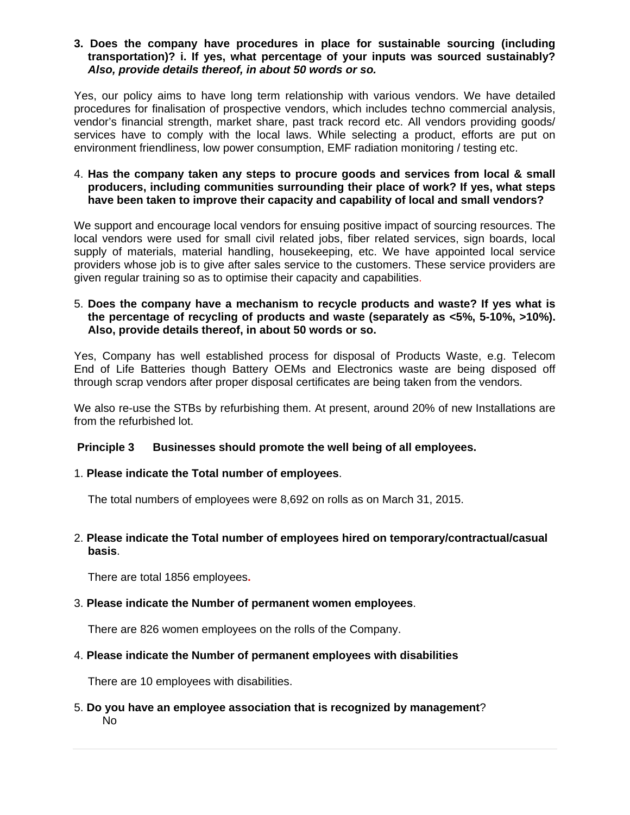**3. Does the company have procedures in place for sustainable sourcing (including transportation)? i. If yes, what percentage of your inputs was sourced sustainably?**  *Also, provide details thereof, in about 50 words or so.* 

Yes, our policy aims to have long term relationship with various vendors. We have detailed procedures for finalisation of prospective vendors, which includes techno commercial analysis, vendor's financial strength, market share, past track record etc. All vendors providing goods/ services have to comply with the local laws. While selecting a product, efforts are put on environment friendliness, low power consumption, EMF radiation monitoring / testing etc.

4. **Has the company taken any steps to procure goods and services from local & small producers, including communities surrounding their place of work? If yes, what steps have been taken to improve their capacity and capability of local and small vendors?** 

We support and encourage local vendors for ensuing positive impact of sourcing resources. The local vendors were used for small civil related jobs, fiber related services, sign boards, local supply of materials, material handling, housekeeping, etc. We have appointed local service providers whose job is to give after sales service to the customers. These service providers are given regular training so as to optimise their capacity and capabilities.

## 5. **Does the company have a mechanism to recycle products and waste? If yes what is the percentage of recycling of products and waste (separately as <5%, 5-10%, >10%). Also, provide details thereof, in about 50 words or so.**

Yes, Company has well established process for disposal of Products Waste, e.g. Telecom End of Life Batteries though Battery OEMs and Electronics waste are being disposed off through scrap vendors after proper disposal certificates are being taken from the vendors.

We also re-use the STBs by refurbishing them. At present, around 20% of new Installations are from the refurbished lot.

## **Principle 3 Businesses should promote the well being of all employees.**

#### 1. **Please indicate the Total number of employees**.

The total numbers of employees were 8,692 on rolls as on March 31, 2015.

## 2. **Please indicate the Total number of employees hired on temporary/contractual/casual basis**.

There are total 1856 employees**.** 

## 3. **Please indicate the Number of permanent women employees**.

There are 826 women employees on the rolls of the Company.

#### 4. **Please indicate the Number of permanent employees with disabilities**

There are 10 employees with disabilities.

5. **Do you have an employee association that is recognized by management**? No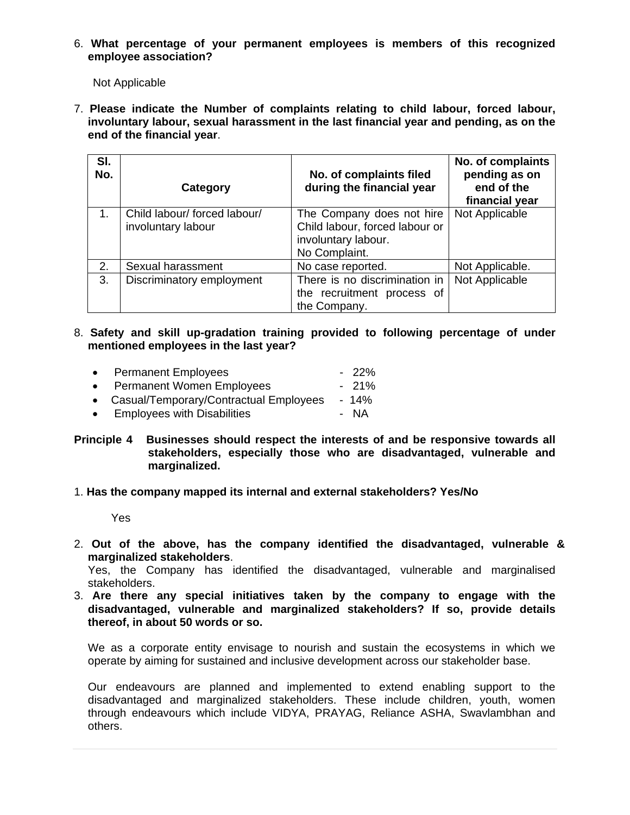6. **What percentage of your permanent employees is members of this recognized employee association?**

Not Applicable

7. **Please indicate the Number of complaints relating to child labour, forced labour, involuntary labour, sexual harassment in the last financial year and pending, as on the end of the financial year**.

| SI.<br>No.  | Category                                           | No. of complaints filed<br>during the financial year                                                | No. of complaints<br>pending as on<br>end of the<br>financial year |
|-------------|----------------------------------------------------|-----------------------------------------------------------------------------------------------------|--------------------------------------------------------------------|
| $1_{\cdot}$ | Child labour/ forced labour/<br>involuntary labour | The Company does not hire<br>Child labour, forced labour or<br>involuntary labour.<br>No Complaint. | Not Applicable                                                     |
| 2.          | Sexual harassment                                  | No case reported.                                                                                   | Not Applicable.                                                    |
| 3.          | Discriminatory employment                          | There is no discrimination in<br>the recruitment process of<br>the Company.                         | Not Applicable                                                     |

8. **Safety and skill up-gradation training provided to following percentage of under mentioned employees in the last year?**

| $\bullet$ | <b>Permanent Employees</b>               | $-22\%$ |
|-----------|------------------------------------------|---------|
|           | • Permanent Women Employees              | $-21\%$ |
|           | • Casual/Temporary/Contractual Employees | $-14\%$ |

- Employees with Disabilities **Fig. 1.4 Employees** with Disabilities
- **Principle 4 Businesses should respect the interests of and be responsive towards all stakeholders, especially those who are disadvantaged, vulnerable and marginalized.**

#### 1. **Has the company mapped its internal and external stakeholders? Yes/No**

Yes

2. **Out of the above, has the company identified the disadvantaged, vulnerable & marginalized stakeholders**.

Yes, the Company has identified the disadvantaged, vulnerable and marginalised stakeholders.

3. **Are there any special initiatives taken by the company to engage with the disadvantaged, vulnerable and marginalized stakeholders? If so, provide details thereof, in about 50 words or so.**

We as a corporate entity envisage to nourish and sustain the ecosystems in which we operate by aiming for sustained and inclusive development across our stakeholder base.

Our endeavours are planned and implemented to extend enabling support to the disadvantaged and marginalized stakeholders. These include children, youth, women through endeavours which include VIDYA, PRAYAG, Reliance ASHA, Swavlambhan and others.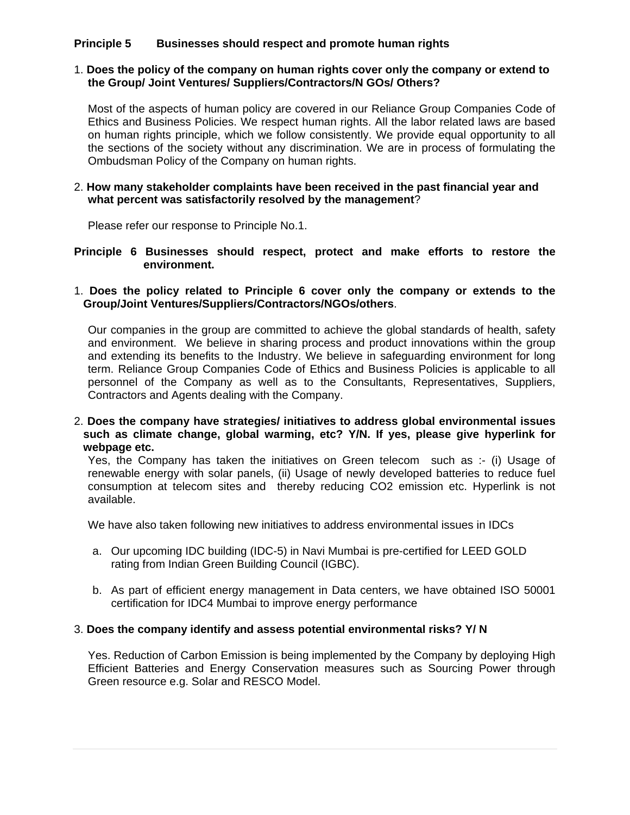## **Principle 5 Businesses should respect and promote human rights**

## 1. **Does the policy of the company on human rights cover only the company or extend to the Group/ Joint Ventures/ Suppliers/Contractors/N GOs/ Others?**

Most of the aspects of human policy are covered in our Reliance Group Companies Code of Ethics and Business Policies. We respect human rights. All the labor related laws are based on human rights principle, which we follow consistently. We provide equal opportunity to all the sections of the society without any discrimination. We are in process of formulating the Ombudsman Policy of the Company on human rights.

#### 2. **How many stakeholder complaints have been received in the past financial year and what percent was satisfactorily resolved by the management**?

Please refer our response to Principle No.1.

**Principle 6 Businesses should respect, protect and make efforts to restore the environment.** 

#### 1. **Does the policy related to Principle 6 cover only the company or extends to the Group/Joint Ventures/Suppliers/Contractors/NGOs/others**.

Our companies in the group are committed to achieve the global standards of health, safety and environment. We believe in sharing process and product innovations within the group and extending its benefits to the Industry. We believe in safeguarding environment for long term. Reliance Group Companies Code of Ethics and Business Policies is applicable to all personnel of the Company as well as to the Consultants, Representatives, Suppliers, Contractors and Agents dealing with the Company.

#### 2. **Does the company have strategies/ initiatives to address global environmental issues such as climate change, global warming, etc? Y/N. If yes, please give hyperlink for webpage etc.**

Yes, the Company has taken the initiatives on Green telecom such as :- (i) Usage of renewable energy with solar panels, (ii) Usage of newly developed batteries to reduce fuel consumption at telecom sites and thereby reducing CO2 emission etc. Hyperlink is not available.

We have also taken following new initiatives to address environmental issues in IDCs

- a. Our upcoming IDC building (IDC-5) in Navi Mumbai is pre-certified for LEED GOLD rating from Indian Green Building Council (IGBC).
- b. As part of efficient energy management in Data centers, we have obtained ISO 50001 certification for IDC4 Mumbai to improve energy performance

#### 3. **Does the company identify and assess potential environmental risks? Y/ N**

Yes. Reduction of Carbon Emission is being implemented by the Company by deploying High Efficient Batteries and Energy Conservation measures such as Sourcing Power through Green resource e.g. Solar and RESCO Model.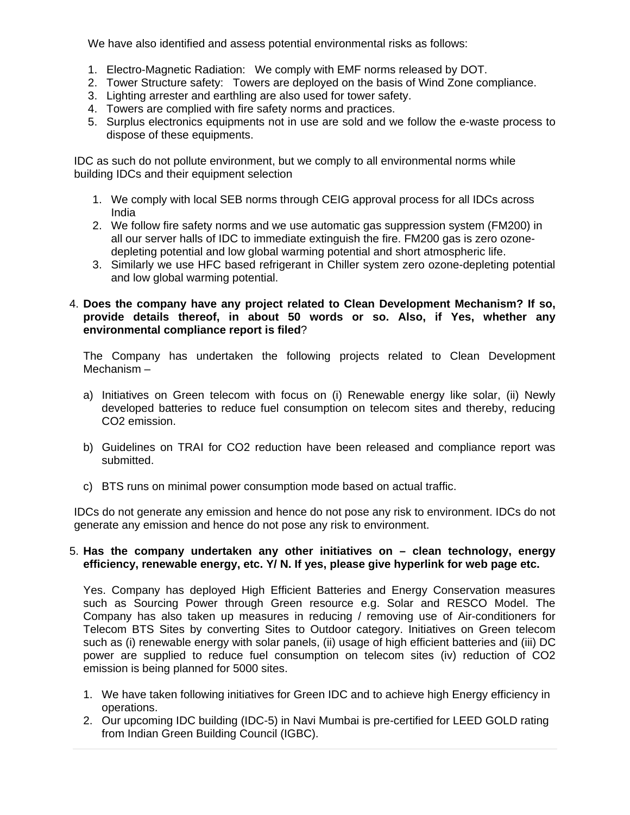We have also identified and assess potential environmental risks as follows:

- 1. Electro-Magnetic Radiation: We comply with EMF norms released by DOT.
- 2. Tower Structure safety: Towers are deployed on the basis of Wind Zone compliance.
- 3. Lighting arrester and earthling are also used for tower safety.
- 4. Towers are complied with fire safety norms and practices.
- 5. Surplus electronics equipments not in use are sold and we follow the e-waste process to dispose of these equipments.

IDC as such do not pollute environment, but we comply to all environmental norms while building IDCs and their equipment selection

- 1. We comply with local SEB norms through CEIG approval process for all IDCs across India
- 2. We follow fire safety norms and we use automatic gas suppression system (FM200) in all our server halls of IDC to immediate extinguish the fire. FM200 gas is zero ozonedepleting potential and low global warming potential and short atmospheric life.
- 3. Similarly we use HFC based refrigerant in Chiller system zero ozone-depleting potential and low global warming potential.

## 4. **Does the company have any project related to Clean Development Mechanism? If so, provide details thereof, in about 50 words or so. Also, if Yes, whether any environmental compliance report is filed**?

The Company has undertaken the following projects related to Clean Development Mechanism –

- a) Initiatives on Green telecom with focus on (i) Renewable energy like solar, (ii) Newly developed batteries to reduce fuel consumption on telecom sites and thereby, reducing CO2 emission.
- b) Guidelines on TRAI for CO2 reduction have been released and compliance report was submitted.
- c) BTS runs on minimal power consumption mode based on actual traffic.

IDCs do not generate any emission and hence do not pose any risk to environment. IDCs do not generate any emission and hence do not pose any risk to environment.

## 5. **Has the company undertaken any other initiatives on – clean technology, energy efficiency, renewable energy, etc. Y/ N. If yes, please give hyperlink for web page etc.**

Yes. Company has deployed High Efficient Batteries and Energy Conservation measures such as Sourcing Power through Green resource e.g. Solar and RESCO Model. The Company has also taken up measures in reducing / removing use of Air-conditioners for Telecom BTS Sites by converting Sites to Outdoor category. Initiatives on Green telecom such as (i) renewable energy with solar panels, (ii) usage of high efficient batteries and (iii) DC power are supplied to reduce fuel consumption on telecom sites (iv) reduction of CO2 emission is being planned for 5000 sites.

- 1. We have taken following initiatives for Green IDC and to achieve high Energy efficiency in operations.
- 2. Our upcoming IDC building (IDC-5) in Navi Mumbai is pre-certified for LEED GOLD rating from Indian Green Building Council (IGBC).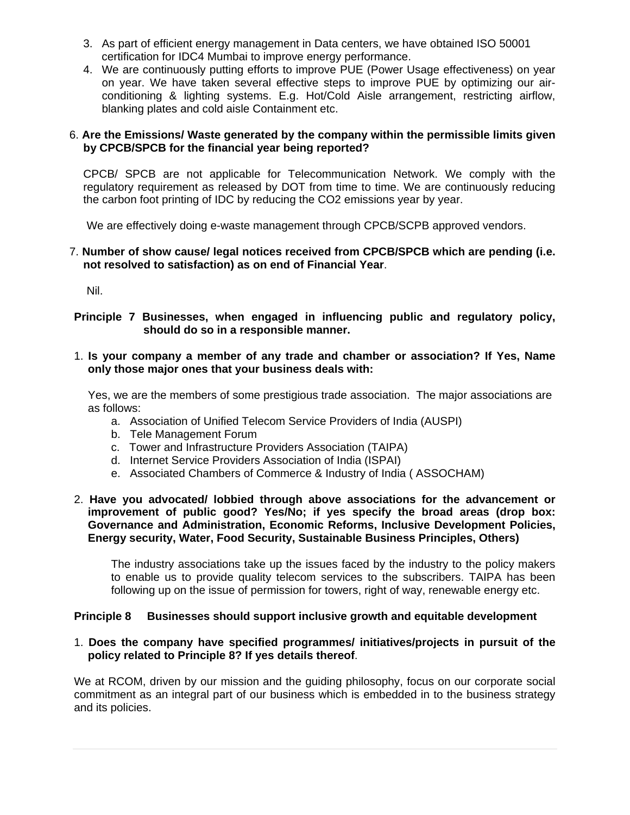- 3. As part of efficient energy management in Data centers, we have obtained ISO 50001 certification for IDC4 Mumbai to improve energy performance.
- 4. We are continuously putting efforts to improve PUE (Power Usage effectiveness) on year on year. We have taken several effective steps to improve PUE by optimizing our airconditioning & lighting systems. E.g. Hot/Cold Aisle arrangement, restricting airflow, blanking plates and cold aisle Containment etc.

## 6. **Are the Emissions/ Waste generated by the company within the permissible limits given by CPCB/SPCB for the financial year being reported?**

CPCB/ SPCB are not applicable for Telecommunication Network. We comply with the regulatory requirement as released by DOT from time to time. We are continuously reducing the carbon foot printing of IDC by reducing the CO2 emissions year by year.

We are effectively doing e-waste management through CPCB/SCPB approved vendors.

## 7. **Number of show cause/ legal notices received from CPCB/SPCB which are pending (i.e. not resolved to satisfaction) as on end of Financial Year**.

Nil.

## **Principle 7 Businesses, when engaged in influencing public and regulatory policy, should do so in a responsible manner.**

## 1. **Is your company a member of any trade and chamber or association? If Yes, Name only those major ones that your business deals with:**

Yes, we are the members of some prestigious trade association. The major associations are as follows:

- a. Association of Unified Telecom Service Providers of India (AUSPI)
- b. Tele Management Forum
- c. Tower and Infrastructure Providers Association (TAIPA)
- d. Internet Service Providers Association of India (ISPAI)
- e. Associated Chambers of Commerce & Industry of India ( ASSOCHAM)

## 2. **Have you advocated/ lobbied through above associations for the advancement or improvement of public good? Yes/No; if yes specify the broad areas (drop box: Governance and Administration, Economic Reforms, Inclusive Development Policies, Energy security, Water, Food Security, Sustainable Business Principles, Others)**

The industry associations take up the issues faced by the industry to the policy makers to enable us to provide quality telecom services to the subscribers. TAIPA has been following up on the issue of permission for towers, right of way, renewable energy etc.

## **Principle 8 Businesses should support inclusive growth and equitable development**

## 1. **Does the company have specified programmes/ initiatives/projects in pursuit of the policy related to Principle 8? If yes details thereof**.

We at RCOM, driven by our mission and the guiding philosophy, focus on our corporate social commitment as an integral part of our business which is embedded in to the business strategy and its policies.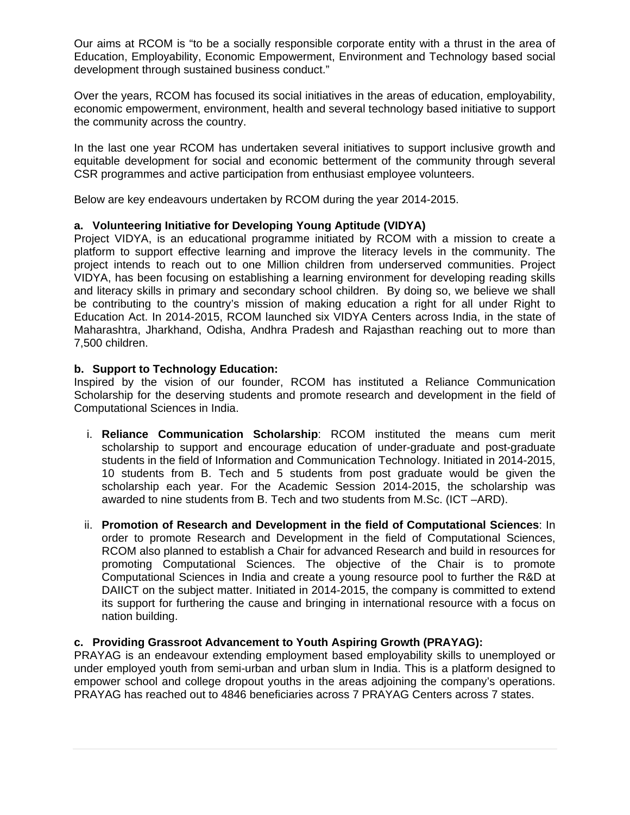Our aims at RCOM is "to be a socially responsible corporate entity with a thrust in the area of Education, Employability, Economic Empowerment, Environment and Technology based social development through sustained business conduct."

Over the years, RCOM has focused its social initiatives in the areas of education, employability, economic empowerment, environment, health and several technology based initiative to support the community across the country.

In the last one year RCOM has undertaken several initiatives to support inclusive growth and equitable development for social and economic betterment of the community through several CSR programmes and active participation from enthusiast employee volunteers.

Below are key endeavours undertaken by RCOM during the year 2014-2015.

## **a. Volunteering Initiative for Developing Young Aptitude (VIDYA)**

Project VIDYA, is an educational programme initiated by RCOM with a mission to create a platform to support effective learning and improve the literacy levels in the community. The project intends to reach out to one Million children from underserved communities. Project VIDYA, has been focusing on establishing a learning environment for developing reading skills and literacy skills in primary and secondary school children. By doing so, we believe we shall be contributing to the country's mission of making education a right for all under Right to Education Act. In 2014-2015, RCOM launched six VIDYA Centers across India, in the state of Maharashtra, Jharkhand, Odisha, Andhra Pradesh and Rajasthan reaching out to more than 7,500 children.

## **b. Support to Technology Education:**

Inspired by the vision of our founder, RCOM has instituted a Reliance Communication Scholarship for the deserving students and promote research and development in the field of Computational Sciences in India.

- i. **Reliance Communication Scholarship**: RCOM instituted the means cum merit scholarship to support and encourage education of under-graduate and post-graduate students in the field of Information and Communication Technology. Initiated in 2014-2015, 10 students from B. Tech and 5 students from post graduate would be given the scholarship each year. For the Academic Session 2014-2015, the scholarship was awarded to nine students from B. Tech and two students from M.Sc. (ICT –ARD).
- ii. **Promotion of Research and Development in the field of Computational Sciences**: In order to promote Research and Development in the field of Computational Sciences, RCOM also planned to establish a Chair for advanced Research and build in resources for promoting Computational Sciences. The objective of the Chair is to promote Computational Sciences in India and create a young resource pool to further the R&D at DAIICT on the subject matter. Initiated in 2014-2015, the company is committed to extend its support for furthering the cause and bringing in international resource with a focus on nation building.

#### **c. Providing Grassroot Advancement to Youth Aspiring Growth (PRAYAG):**

PRAYAG is an endeavour extending employment based employability skills to unemployed or under employed youth from semi-urban and urban slum in India. This is a platform designed to empower school and college dropout youths in the areas adjoining the company's operations. PRAYAG has reached out to 4846 beneficiaries across 7 PRAYAG Centers across 7 states.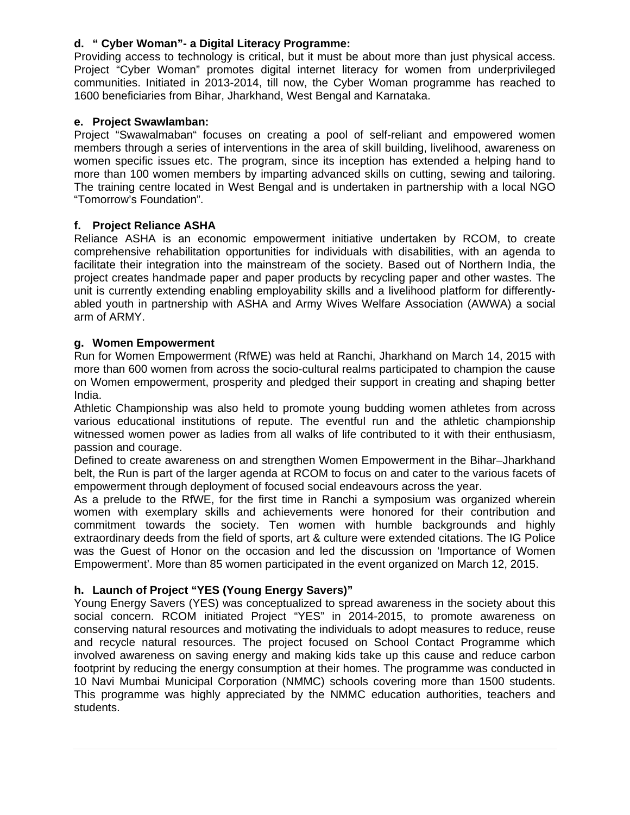## **d. " Cyber Woman"- a Digital Literacy Programme:**

Providing access to technology is critical, but it must be about more than just physical access. Project "Cyber Woman" promotes digital internet literacy for women from underprivileged communities. Initiated in 2013-2014, till now, the Cyber Woman programme has reached to 1600 beneficiaries from Bihar, Jharkhand, West Bengal and Karnataka.

## **e. Project Swawlamban:**

Project "Swawalmaban" focuses on creating a pool of self-reliant and empowered women members through a series of interventions in the area of skill building, livelihood, awareness on women specific issues etc. The program, since its inception has extended a helping hand to more than 100 women members by imparting advanced skills on cutting, sewing and tailoring. The training centre located in West Bengal and is undertaken in partnership with a local NGO "Tomorrow's Foundation".

## **f. Project Reliance ASHA**

Reliance ASHA is an economic empowerment initiative undertaken by RCOM, to create comprehensive rehabilitation opportunities for individuals with disabilities, with an agenda to facilitate their integration into the mainstream of the society. Based out of Northern India, the project creates handmade paper and paper products by recycling paper and other wastes. The unit is currently extending enabling employability skills and a livelihood platform for differentlyabled youth in partnership with ASHA and Army Wives Welfare Association (AWWA) a social arm of ARMY.

## **g. Women Empowerment**

Run for Women Empowerment (RfWE) was held at Ranchi, Jharkhand on March 14, 2015 with more than 600 women from across the socio-cultural realms participated to champion the cause on Women empowerment, prosperity and pledged their support in creating and shaping better India.

Athletic Championship was also held to promote young budding women athletes from across various educational institutions of repute. The eventful run and the athletic championship witnessed women power as ladies from all walks of life contributed to it with their enthusiasm, passion and courage.

Defined to create awareness on and strengthen Women Empowerment in the Bihar–Jharkhand belt, the Run is part of the larger agenda at RCOM to focus on and cater to the various facets of empowerment through deployment of focused social endeavours across the year.

As a prelude to the RfWE, for the first time in Ranchi a symposium was organized wherein women with exemplary skills and achievements were honored for their contribution and commitment towards the society. Ten women with humble backgrounds and highly extraordinary deeds from the field of sports, art & culture were extended citations. The IG Police was the Guest of Honor on the occasion and led the discussion on 'Importance of Women Empowerment'. More than 85 women participated in the event organized on March 12, 2015.

## **h. Launch of Project "YES (Young Energy Savers)"**

Young Energy Savers (YES) was conceptualized to spread awareness in the society about this social concern. RCOM initiated Project "YES" in 2014-2015, to promote awareness on conserving natural resources and motivating the individuals to adopt measures to reduce, reuse and recycle natural resources. The project focused on School Contact Programme which involved awareness on saving energy and making kids take up this cause and reduce carbon footprint by reducing the energy consumption at their homes. The programme was conducted in 10 Navi Mumbai Municipal Corporation (NMMC) schools covering more than 1500 students. This programme was highly appreciated by the NMMC education authorities, teachers and students.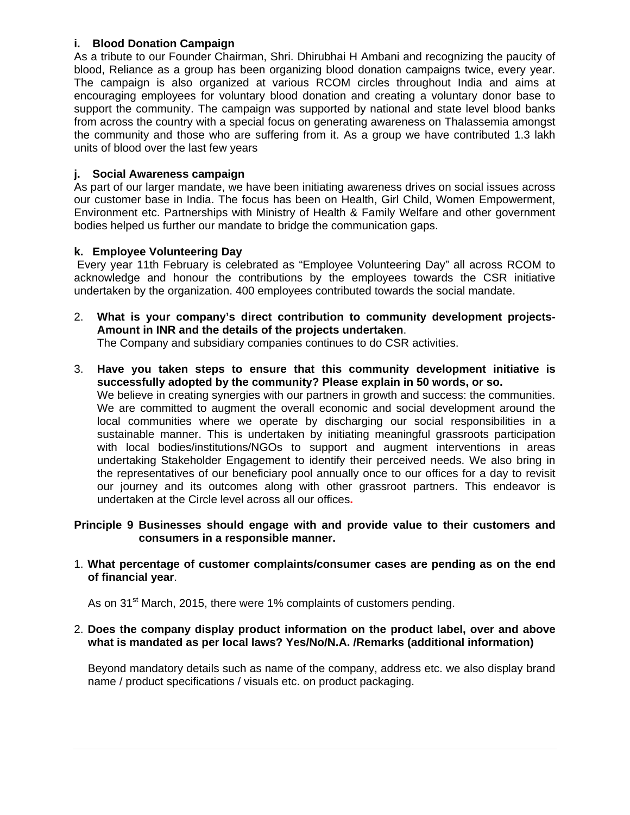## **i. Blood Donation Campaign**

As a tribute to our Founder Chairman, Shri. Dhirubhai H Ambani and recognizing the paucity of blood, Reliance as a group has been organizing blood donation campaigns twice, every year. The campaign is also organized at various RCOM circles throughout India and aims at encouraging employees for voluntary blood donation and creating a voluntary donor base to support the community. The campaign was supported by national and state level blood banks from across the country with a special focus on generating awareness on Thalassemia amongst the community and those who are suffering from it. As a group we have contributed 1.3 lakh units of blood over the last few years

## **j. Social Awareness campaign**

As part of our larger mandate, we have been initiating awareness drives on social issues across our customer base in India. The focus has been on Health, Girl Child, Women Empowerment, Environment etc. Partnerships with Ministry of Health & Family Welfare and other government bodies helped us further our mandate to bridge the communication gaps.

## **k. Employee Volunteering Day**

 Every year 11th February is celebrated as "Employee Volunteering Day" all across RCOM to acknowledge and honour the contributions by the employees towards the CSR initiative undertaken by the organization. 400 employees contributed towards the social mandate.

2. **What is your company's direct contribution to community development projects-Amount in INR and the details of the projects undertaken**.

The Company and subsidiary companies continues to do CSR activities.

3. **Have you taken steps to ensure that this community development initiative is successfully adopted by the community? Please explain in 50 words, or so.** 

We believe in creating synergies with our partners in growth and success: the communities. We are committed to augment the overall economic and social development around the local communities where we operate by discharging our social responsibilities in a sustainable manner. This is undertaken by initiating meaningful grassroots participation with local bodies/institutions/NGOs to support and augment interventions in areas undertaking Stakeholder Engagement to identify their perceived needs. We also bring in the representatives of our beneficiary pool annually once to our offices for a day to revisit our journey and its outcomes along with other grassroot partners. This endeavor is undertaken at the Circle level across all our offices**.** 

## **Principle 9 Businesses should engage with and provide value to their customers and consumers in a responsible manner.**

## 1. **What percentage of customer complaints/consumer cases are pending as on the end of financial year**.

As on 31<sup>st</sup> March, 2015, there were 1% complaints of customers pending.

## 2. **Does the company display product information on the product label, over and above what is mandated as per local laws? Yes/No/N.A. /Remarks (additional information)**

Beyond mandatory details such as name of the company, address etc. we also display brand name / product specifications / visuals etc. on product packaging.